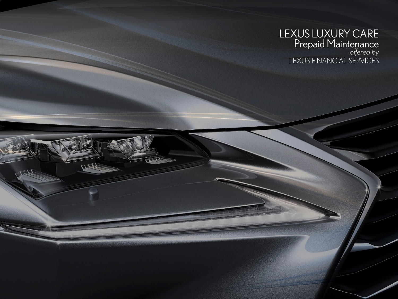## LEXUS LUXURY CARE Prepaid Maintenance *offered by* LEXUS FINANCIAL SERVICES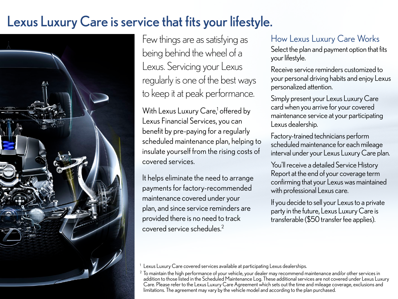# Lexus Luxury Care is service that fits your lifestyle.



Few things are as satisfying as being behind the wheel of a Lexus. Servicing your Lexus regularly is one of the best ways to keep it at peak performance.

With Lexus Luxury Care,<sup>1</sup> offered by Lexus Financial Services, you can benefit by pre-paying for a regularly scheduled maintenance plan, helping to insulate yourself from the rising costs of covered services.

It helps eliminate the need to arrange payments for factory-recommended maintenance covered under your plan, and since service reminders are provided there is no need to track covered service schedules.2

#### How Lexus Luxury Care Works

Select the plan and payment option that fits your lifestyle.

Receive service reminders customized to your personal driving habits and enjoy Lexus personalized attention.

Simply present your Lexus Luxury Care card when you arrive for your covered maintenance service at your participating Lexus dealership.

Factory-trained technicians perform scheduled maintenance for each mileage interval under your Lexus Luxury Care plan.

You'll receive a detailed Service History Report at the end of your coverage term confirming that your Lexus was maintained with professional Lexus care.

If you decide to sell your Lexus to a private party in the future, Lexus Luxury Care is transferable (\$50 transfer fee applies).

<sup>1</sup> Lexus Luxury Care covered services available at participating Lexus dealerships.

<sup>2</sup> To maintain the high performance of your vehicle, your dealer may recommend maintenance and/or other services in addition to those listed in the Scheduled Maintenance Log. These additional services are not covered under Lexus Luxury Care. Please refer to the Lexus Luxury Care Agreement which sets out the time and mileage coverage, exclusions and limitations. The agreement may vary by the vehicle model and according to the plan purchased.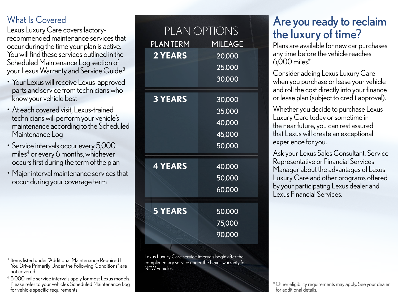### What Is Covered

Lexus Luxury Care covers factoryrecommended maintenance services that occur during the time your plan is active. You will find these services outlined in the Scheduled Maintenance Log section of your Lexus Warranty and Service Guide.<sup>3</sup>

- Your Lexus will receive Lexus-approved parts and service from technicians who know your vehicle best
- At each covered visit, Lexus-trained technicians will perform your vehicle's maintenance according to the Scheduled Maintenance Log
- Service intervals occur every 5,000 miles $^4$  or every 6 months, whichever occurs first during the term of the plan
- Major interval maintenance services that occur during your coverage term

- 3 Items listed under "Additional Maintenance Required If You Drive Primarily Under the Following Conditions" are not covered.
- 4 5,000-mile service intervals apply for most Lexus models. Please refer to your vehicle's Scheduled Maintenance Log for vehicle specific requirements.

|                 | PLAN OPTIONS   |
|-----------------|----------------|
|                 |                |
| <b>PLANTERM</b> | <b>MILEAGE</b> |
| <b>2 YEARS</b>  | 20,000         |
|                 | 25,000         |
|                 | 30,000         |
| <b>3 YEARS</b>  | 30,000         |
|                 | 35,000         |
|                 | 40,000         |
|                 | 45,000         |
|                 | 50,000         |
| <b>4 YEARS</b>  | 40,000         |
|                 | 50,000         |
|                 | 60,000         |
| <b>5 YEARS</b>  | 50,000         |
|                 | 75,000         |
|                 | 90,000         |
|                 |                |

Lexus Luxury Care service intervals begin after the complimentary service under the Lexus warranty for NEW vehicles.

# Are you ready to reclaim the luxury of time?

Plans are available for new car purchases any time before the vehicle reaches 6,000 miles.\*

Consider adding Lexus Luxury Care when you purchase or lease your vehicle and roll the cost directly into your finance or lease plan (subject to credit approval).

Whether you decide to purchase Lexus Luxury Care today or sometime in the near future, you can rest assured that Lexus will create an exceptional experience for you.

Ask your Lexus Sales Consultant, Service Representative or Financial Services Manager about the advantages of Lexus Luxury Care and other programs offered by your participating Lexus dealer and Lexus Financial Services.

\*Other eligibility requirements may apply. See your dealer for additional details.